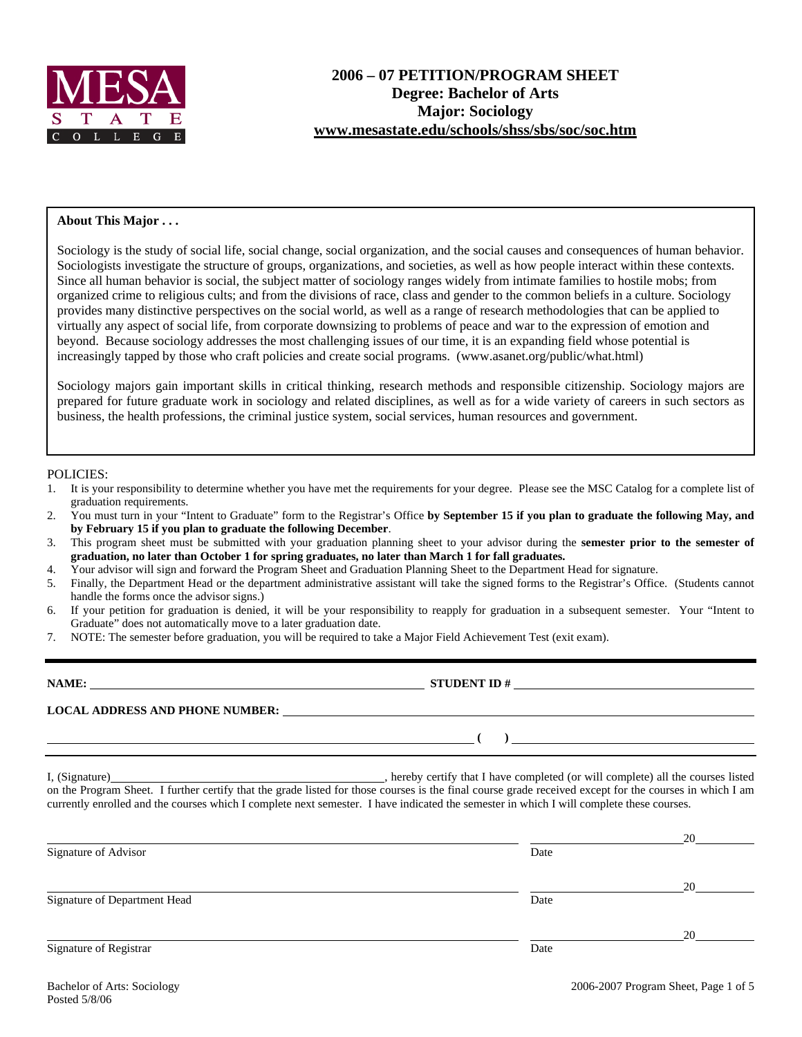

#### **About This Major . . .**

Sociology is the study of social life, social change, social organization, and the social causes and consequences of human behavior. Sociologists investigate the structure of groups, organizations, and societies, as well as how people interact within these contexts. Since all human behavior is social, the subject matter of sociology ranges widely from intimate families to hostile mobs; from organized crime to religious cults; and from the divisions of race, class and gender to the common beliefs in a culture. Sociology provides many distinctive perspectives on the social world, as well as a range of research methodologies that can be applied to virtually any aspect of social life, from corporate downsizing to problems of peace and war to the expression of emotion and beyond. Because sociology addresses the most challenging issues of our time, it is an expanding field whose potential is increasingly tapped by those who craft policies and create social programs. (www.asanet.org/public/what.html)

Sociology majors gain important skills in critical thinking, research methods and responsible citizenship. Sociology majors are prepared for future graduate work in sociology and related disciplines, as well as for a wide variety of careers in such sectors as business, the health professions, the criminal justice system, social services, human resources and government.

#### POLICIES:

- 1. It is your responsibility to determine whether you have met the requirements for your degree. Please see the MSC Catalog for a complete list of graduation requirements.
- 2. You must turn in your "Intent to Graduate" form to the Registrar's Office **by September 15 if you plan to graduate the following May, and by February 15 if you plan to graduate the following December**.
- 3. This program sheet must be submitted with your graduation planning sheet to your advisor during the **semester prior to the semester of graduation, no later than October 1 for spring graduates, no later than March 1 for fall graduates.**
- 4. Your advisor will sign and forward the Program Sheet and Graduation Planning Sheet to the Department Head for signature.
- 5. Finally, the Department Head or the department administrative assistant will take the signed forms to the Registrar's Office. (Students cannot handle the forms once the advisor signs.)
- 6. If your petition for graduation is denied, it will be your responsibility to reapply for graduation in a subsequent semester. Your "Intent to Graduate" does not automatically move to a later graduation date.
- 7. NOTE: The semester before graduation, you will be required to take a Major Field Achievement Test (exit exam).

| <b>NAME:</b>                           | <b>STUDENT ID#</b> |
|----------------------------------------|--------------------|
| <b>LOCAL ADDRESS AND PHONE NUMBER:</b> |                    |
|                                        |                    |

I, (Signature) , hereby certify that I have completed (or will complete) all the courses listed on the Program Sheet. I further certify that the grade listed for those courses is the final course grade received except for the courses in which I am currently enrolled and the courses which I complete next semester. I have indicated the semester in which I will complete these courses.

|                              |      | 20 |
|------------------------------|------|----|
| Signature of Advisor         | Date |    |
|                              |      | 20 |
| Signature of Department Head | Date |    |
|                              |      | 20 |
| Signature of Registrar       | Date |    |
|                              |      |    |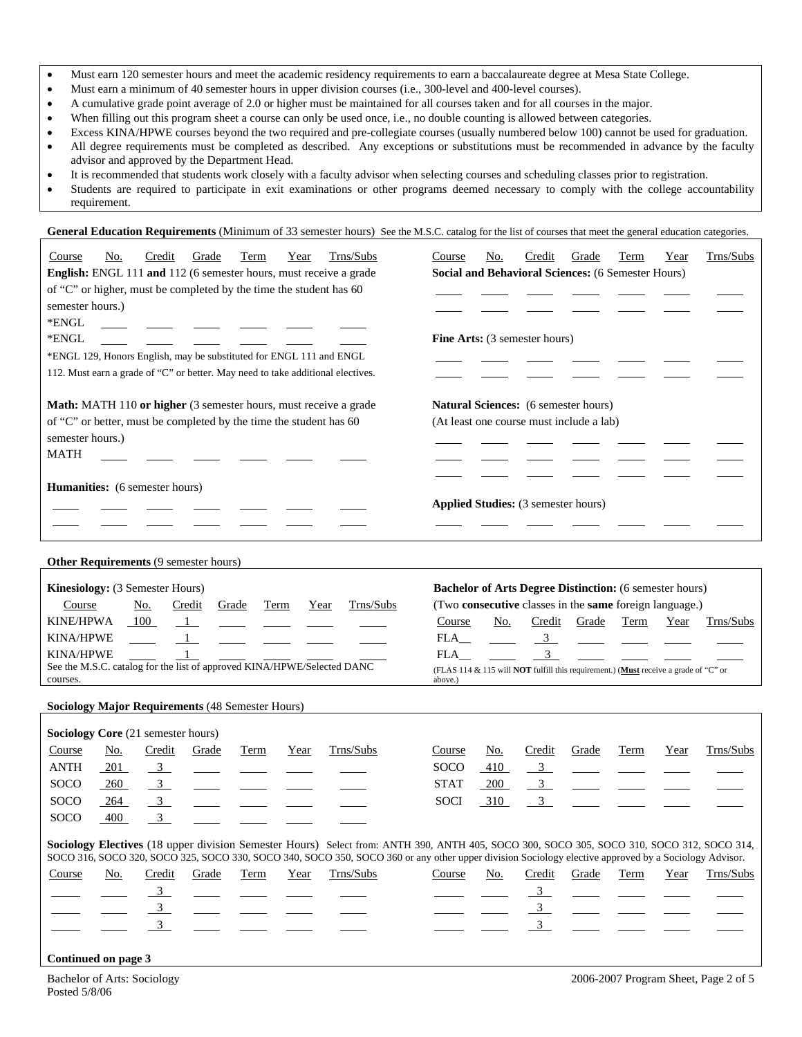- Must earn 120 semester hours and meet the academic residency requirements to earn a baccalaureate degree at Mesa State College.
- Must earn a minimum of 40 semester hours in upper division courses (i.e., 300-level and 400-level courses).
- A cumulative grade point average of 2.0 or higher must be maintained for all courses taken and for all courses in the major.
- When filling out this program sheet a course can only be used once, i.e., no double counting is allowed between categories.
- Excess KINA/HPWE courses beyond the two required and pre-collegiate courses (usually numbered below 100) cannot be used for graduation.
- All degree requirements must be completed as described. Any exceptions or substitutions must be recommended in advance by the faculty advisor and approved by the Department Head.
- It is recommended that students work closely with a faculty advisor when selecting courses and scheduling classes prior to registration.
- Students are required to participate in exit examinations or other programs deemed necessary to comply with the college accountability requirement.

General Education Requirements (Minimum of 33 semester hours) See the M.S.C. catalog for the list of courses that meet the general education categories.

| Trns/Subs<br>Credit<br>Grade<br>Course<br>No.<br>Term<br>Year<br>English: ENGL 111 and 112 (6 semester hours, must receive a grade<br>of "C" or higher, must be completed by the time the student has 60<br>semester hours.)<br>*ENGL<br>*ENGL<br>*ENGL 129, Honors English, may be substituted for ENGL 111 and ENGL<br>112. Must earn a grade of "C" or better. May need to take additional electives. | Trns/Subs<br>No.<br>Credit<br>Grade<br>Term<br>Course<br>Year<br><b>Social and Behavioral Sciences: (6 Semester Hours)</b><br>Fine Arts: (3 semester hours)                                                                                                                                                                                |
|----------------------------------------------------------------------------------------------------------------------------------------------------------------------------------------------------------------------------------------------------------------------------------------------------------------------------------------------------------------------------------------------------------|--------------------------------------------------------------------------------------------------------------------------------------------------------------------------------------------------------------------------------------------------------------------------------------------------------------------------------------------|
| Math: MATH 110 or higher (3 semester hours, must receive a grade<br>of "C" or better, must be completed by the time the student has 60<br>semester hours.)<br><b>MATH</b>                                                                                                                                                                                                                                | Natural Sciences: (6 semester hours)<br>(At least one course must include a lab)                                                                                                                                                                                                                                                           |
| Humanities: (6 semester hours)                                                                                                                                                                                                                                                                                                                                                                           | <b>Applied Studies:</b> (3 semester hours)                                                                                                                                                                                                                                                                                                 |
| Other Requirements (9 semester hours)                                                                                                                                                                                                                                                                                                                                                                    |                                                                                                                                                                                                                                                                                                                                            |
| Kinesiology: (3 Semester Hours)<br>Trns/Subs<br>Course<br>No.<br>Credit<br>Grade<br><b>Term</b><br>Year<br><b>KINE/HPWA</b><br>100<br>$\mathbf{1}$<br><b>KINA/HPWE</b><br>$\mathbf{1}$<br><b>KINA/HPWE</b><br>See the M.S.C. catalog for the list of approved KINA/HPWE/Selected DANC<br>courses.                                                                                                        | <b>Bachelor of Arts Degree Distinction:</b> (6 semester hours)<br>(Two consecutive classes in the same foreign language.)<br>Credit Grade<br>Course<br>No.<br>Term<br>Year<br>Trns/Subs<br>$\frac{3}{2}$<br>FLA<br>$\overline{3}$<br>FLA<br>(FLAS 114 & 115 will NOT fulfill this requirement.) (Must receive a grade of "C" or<br>above.) |
| <b>Sociology Major Requirements (48 Semester Hours)</b>                                                                                                                                                                                                                                                                                                                                                  |                                                                                                                                                                                                                                                                                                                                            |
| Sociology Core (21 semester hours)                                                                                                                                                                                                                                                                                                                                                                       |                                                                                                                                                                                                                                                                                                                                            |
| Trns/Subs<br>Credit<br>Course<br><u>No.</u><br>Grade<br>Term<br>Year<br>ANTH<br>$\overline{\mathbf{3}}$<br>201<br>SOCO<br>$\overline{3}$<br>260<br>SOCO<br>$\overline{3}$<br>264<br>$\overline{3}$<br>SOCO<br>400                                                                                                                                                                                        | Trns/Subs<br>Credit<br>Course<br><u>No.</u><br>Grade<br><b>Term</b><br>Year<br>SOCO<br>410<br>$\overline{\mathbf{3}}$<br><b>STAT</b><br>$\mathbf{3}$<br>200<br><b>SOCI</b><br>3<br>310                                                                                                                                                     |
| Sociology Electives (18 upper division Semester Hours) Select from: ANTH 390, ANTH 405, SOCO 300, SOCO 305, SOCO 310, SOCO 312, SOCO 314,                                                                                                                                                                                                                                                                |                                                                                                                                                                                                                                                                                                                                            |
| SOCO 316, SOCO 320, SOCO 325, SOCO 330, SOCO 340, SOCO 350, SOCO 360 or any other upper division Sociology elective approved by a Sociology Advisor.<br>Trns/Subs<br>Credit<br>Course<br>No.<br>Grade<br>Year<br>Term<br>$\frac{3}{2}$<br>$\frac{3}{2}$<br>$\overline{3}$<br>Continued on page 3                                                                                                         | Credit<br>Trns/Subs<br>Course<br>No.<br>Grade<br>Term<br>Year<br>$\frac{3}{2}$<br>$\frac{3}{2}$<br>$\overline{3}$                                                                                                                                                                                                                          |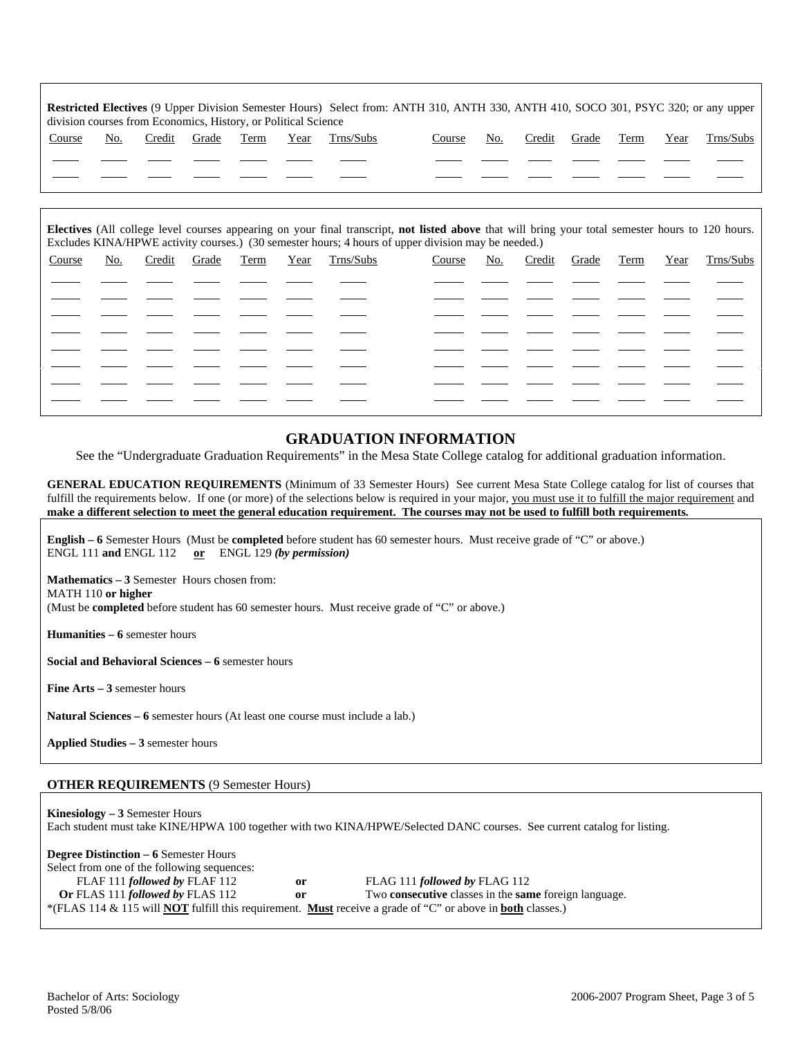| <b>Restricted Electives</b> (9 Upper Division Semester Hours) Select from: ANTH 310, ANTH 330, ANTH 410, SOCO 301, PSYC 320; or any upper<br>division courses from Economics, History, or Political Science |     |        |       |      |      |           |        |     |        |       |      |      |           |
|-------------------------------------------------------------------------------------------------------------------------------------------------------------------------------------------------------------|-----|--------|-------|------|------|-----------|--------|-----|--------|-------|------|------|-----------|
| Course                                                                                                                                                                                                      | No. | Credit | Grade | Term | Year | Trns/Subs | Course | No. | Credit | Grade | Term | Year | Trns/Subs |
|                                                                                                                                                                                                             |     |        |       |      |      |           |        |     |        |       |      |      |           |
|                                                                                                                                                                                                             |     |        |       |      |      |           |        |     |        |       |      |      |           |
|                                                                                                                                                                                                             |     |        |       |      |      |           |        |     |        |       |      |      |           |

| Electives (All college level courses appearing on your final transcript, not listed above that will bring your total semester hours to 120 hours.<br>Excludes KINA/HPWE activity courses.) (30 semester hours; 4 hours of upper division may be needed.) |     |        |       |      |      |           |        |     |        |       |      |      |           |
|----------------------------------------------------------------------------------------------------------------------------------------------------------------------------------------------------------------------------------------------------------|-----|--------|-------|------|------|-----------|--------|-----|--------|-------|------|------|-----------|
| Course                                                                                                                                                                                                                                                   | No. | Credit | Grade | Term | Year | Trns/Subs | Course | No. | Credit | Grade | Term | Year | Trns/Subs |
|                                                                                                                                                                                                                                                          |     |        |       |      |      |           |        |     |        |       |      |      |           |
|                                                                                                                                                                                                                                                          |     |        |       |      |      |           |        |     |        |       |      |      |           |
|                                                                                                                                                                                                                                                          |     |        |       |      |      |           |        |     |        |       |      |      |           |
|                                                                                                                                                                                                                                                          |     |        |       |      |      |           |        |     |        |       |      |      |           |
|                                                                                                                                                                                                                                                          |     |        |       |      |      |           |        |     |        |       |      |      |           |
|                                                                                                                                                                                                                                                          |     |        |       |      |      |           |        |     |        |       |      |      |           |
|                                                                                                                                                                                                                                                          |     |        |       |      |      |           |        |     |        |       |      |      |           |
|                                                                                                                                                                                                                                                          |     |        |       |      |      |           |        |     |        |       |      |      |           |

#### **GRADUATION INFORMATION**

See the "Undergraduate Graduation Requirements" in the Mesa State College catalog for additional graduation information.

**GENERAL EDUCATION REQUIREMENTS** (Minimum of 33 Semester Hours) See current Mesa State College catalog for list of courses that fulfill the requirements below. If one (or more) of the selections below is required in your major, you must use it to fulfill the major requirement and **make a different selection to meet the general education requirement. The courses may not be used to fulfill both requirements.**

**English – 6** Semester Hours (Must be **completed** before student has 60 semester hours. Must receive grade of "C" or above.) ENGL 111 **and** ENGL 112 **or** ENGL 129 *(by permission)*

**Mathematics – 3** Semester Hours chosen from: MATH 110 **or higher** (Must be **completed** before student has 60 semester hours. Must receive grade of "C" or above.)

**Humanities – 6** semester hours

**Social and Behavioral Sciences – 6** semester hours

**Fine Arts – 3** semester hours

**Natural Sciences – 6** semester hours (At least one course must include a lab.)

**Applied Studies – 3** semester hours

#### **OTHER REQUIREMENTS** (9 Semester Hours)

**Kinesiology – 3** Semester Hours Each student must take KINE/HPWA 100 together with two KINA/HPWE/Selected DANC courses. See current catalog for listing.

**Degree Distinction – 6** Semester Hours Select from one of the following sequences: FLAF 111 *followed by* FLAF 112 **or** FLAG 111 *followed by* FLAG 112 **Or** FLAS 111 *followed by* FLAS 112 **or** Two **consecutive** classes in the **same** foreign language. \*(FLAS 114 & 115 will **NOT** fulfill this requirement. **Must** receive a grade of "C" or above in **both** classes.)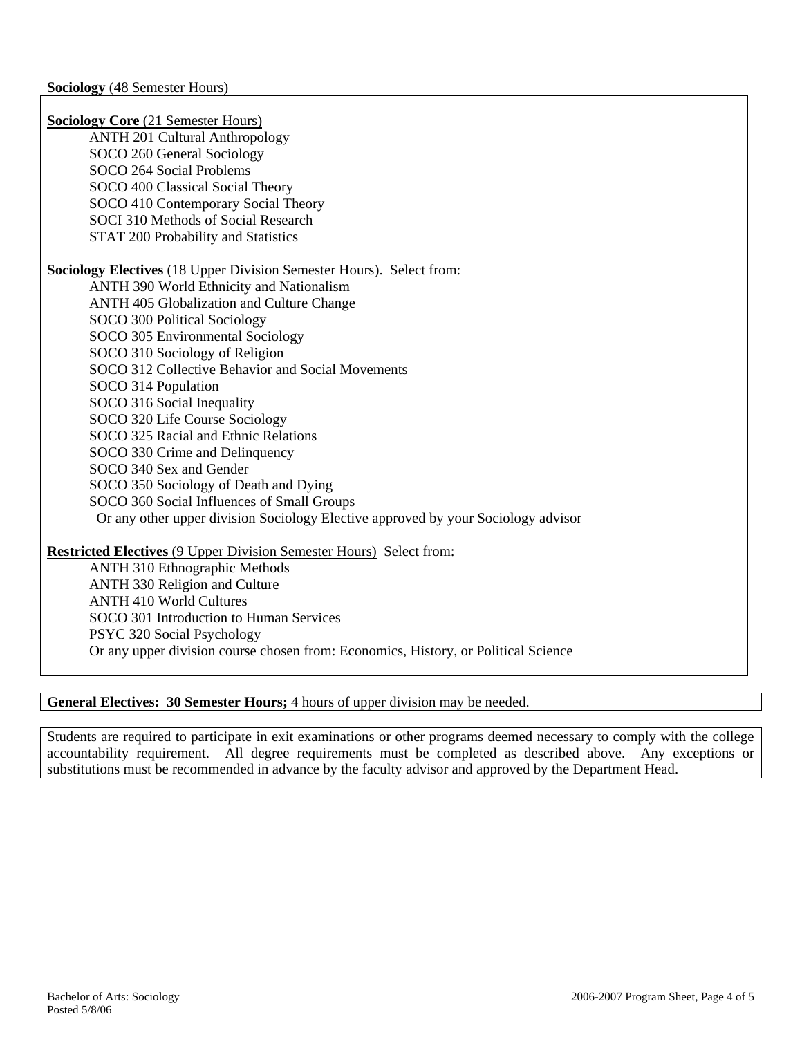**Sociology Core** (21 Semester Hours) ANTH 201 Cultural Anthropology SOCO 260 General Sociology SOCO 264 Social Problems SOCO 400 Classical Social Theory SOCO 410 Contemporary Social Theory SOCI 310 Methods of Social Research STAT 200 Probability and Statistics **Sociology Electives** (18 Upper Division Semester Hours). Select from: ANTH 390 World Ethnicity and Nationalism ANTH 405 Globalization and Culture Change SOCO 300 Political Sociology SOCO 305 Environmental Sociology SOCO 310 Sociology of Religion SOCO 312 Collective Behavior and Social Movements SOCO 314 Population SOCO 316 Social Inequality SOCO 320 Life Course Sociology SOCO 325 Racial and Ethnic Relations SOCO 330 Crime and Delinquency SOCO 340 Sex and Gender SOCO 350 Sociology of Death and Dying SOCO 360 Social Influences of Small Groups Or any other upper division Sociology Elective approved by your Sociology advisor **Restricted Electives** (9 Upper Division Semester Hours) Select from: ANTH 310 Ethnographic Methods ANTH 330 Religion and Culture

ANTH 410 World Cultures SOCO 301 Introduction to Human Services PSYC 320 Social Psychology Or any upper division course chosen from: Economics, History, or Political Science

# **General Electives: 30 Semester Hours;** 4 hours of upper division may be needed.

Students are required to participate in exit examinations or other programs deemed necessary to comply with the college accountability requirement. All degree requirements must be completed as described above. Any exceptions or substitutions must be recommended in advance by the faculty advisor and approved by the Department Head.